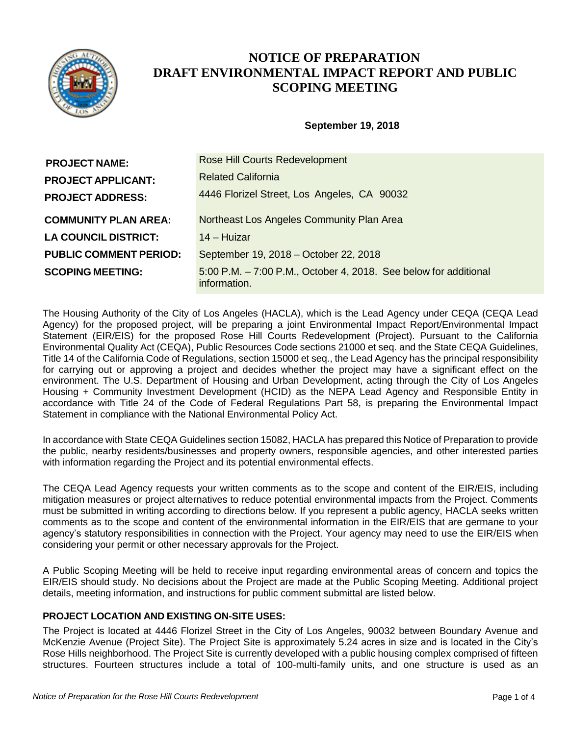

# **NOTICE OF PREPARATION DRAFT ENVIRONMENTAL IMPACT REPORT AND PUBLIC SCOPING MEETING**

## **September 19, 2018**

| <b>PROJECT NAME:</b>          | <b>Rose Hill Courts Redevelopment</b>                                            |
|-------------------------------|----------------------------------------------------------------------------------|
| <b>PROJECT APPLICANT:</b>     | <b>Related California</b>                                                        |
| <b>PROJECT ADDRESS:</b>       | 4446 Florizel Street, Los Angeles, CA 90032                                      |
| <b>COMMUNITY PLAN AREA:</b>   | Northeast Los Angeles Community Plan Area                                        |
| <b>LA COUNCIL DISTRICT:</b>   | 14 – Huizar                                                                      |
| <b>PUBLIC COMMENT PERIOD:</b> | September 19, 2018 – October 22, 2018                                            |
| <b>SCOPING MEETING:</b>       | 5:00 P.M. - 7:00 P.M., October 4, 2018. See below for additional<br>information. |

The Housing Authority of the City of Los Angeles (HACLA), which is the Lead Agency under CEQA (CEQA Lead Agency) for the proposed project, will be preparing a joint Environmental Impact Report/Environmental Impact Statement (EIR/EIS) for the proposed Rose Hill Courts Redevelopment (Project). Pursuant to the California Environmental Quality Act (CEQA), Public Resources Code sections 21000 et seq. and the State CEQA Guidelines, Title 14 of the California Code of Regulations, section 15000 et seq., the Lead Agency has the principal responsibility for carrying out or approving a project and decides whether the project may have a significant effect on the environment. The U.S. Department of Housing and Urban Development, acting through the City of Los Angeles Housing + Community Investment Development (HCID) as the NEPA Lead Agency and Responsible Entity in accordance with Title 24 of the Code of Federal Regulations Part 58, is preparing the Environmental Impact Statement in compliance with the National Environmental Policy Act.

In accordance with State CEQA Guidelines section 15082, HACLA has prepared this Notice of Preparation to provide the public, nearby residents/businesses and property owners, responsible agencies, and other interested parties with information regarding the Project and its potential environmental effects.

The CEQA Lead Agency requests your written comments as to the scope and content of the EIR/EIS, including mitigation measures or project alternatives to reduce potential environmental impacts from the Project. Comments must be submitted in writing according to directions below. If you represent a public agency, HACLA seeks written comments as to the scope and content of the environmental information in the EIR/EIS that are germane to your agency's statutory responsibilities in connection with the Project. Your agency may need to use the EIR/EIS when considering your permit or other necessary approvals for the Project.

A Public Scoping Meeting will be held to receive input regarding environmental areas of concern and topics the EIR/EIS should study. No decisions about the Project are made at the Public Scoping Meeting. Additional project details, meeting information, and instructions for public comment submittal are listed below.

### **PROJECT LOCATION AND EXISTING ON-SITE USES:**

The Project is located at 4446 Florizel Street in the City of Los Angeles, 90032 between Boundary Avenue and McKenzie Avenue (Project Site). The Project Site is approximately 5.24 acres in size and is located in the City's Rose Hills neighborhood. The Project Site is currently developed with a public housing complex comprised of fifteen structures. Fourteen structures include a total of 100-multi-family units, and one structure is used as an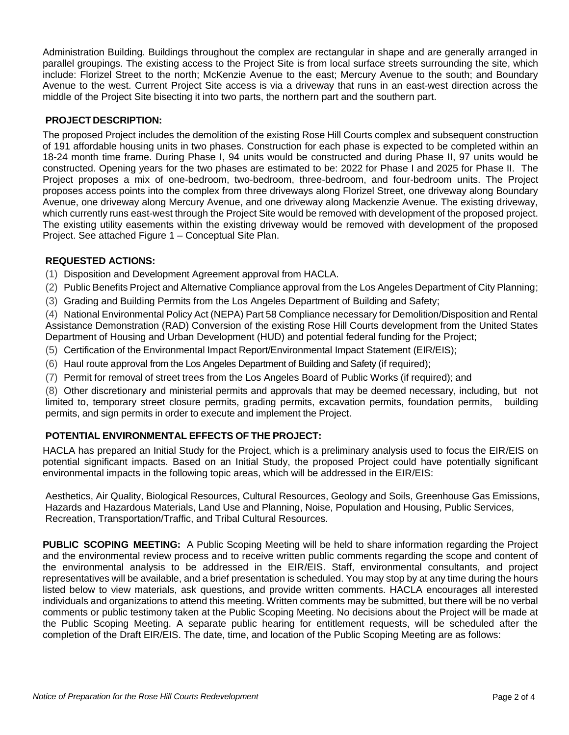Administration Building. Buildings throughout the complex are rectangular in shape and are generally arranged in parallel groupings. The existing access to the Project Site is from local surface streets surrounding the site, which include: Florizel Street to the north; McKenzie Avenue to the east; Mercury Avenue to the south; and Boundary Avenue to the west. Current Project Site access is via a driveway that runs in an east-west direction across the middle of the Project Site bisecting it into two parts, the northern part and the southern part.

## **PROJECTDESCRIPTION:**

The proposed Project includes the demolition of the existing Rose Hill Courts complex and subsequent construction of 191 affordable housing units in two phases. Construction for each phase is expected to be completed within an 18-24 month time frame. During Phase I, 94 units would be constructed and during Phase II, 97 units would be constructed. Opening years for the two phases are estimated to be: 2022 for Phase I and 2025 for Phase II. The Project proposes a mix of one-bedroom, two-bedroom, three-bedroom, and four-bedroom units. The Project proposes access points into the complex from three driveways along Florizel Street, one driveway along Boundary Avenue, one driveway along Mercury Avenue, and one driveway along Mackenzie Avenue. The existing driveway, which currently runs east-west through the Project Site would be removed with development of the proposed project. The existing utility easements within the existing driveway would be removed with development of the proposed Project. See attached Figure 1 – Conceptual Site Plan.

### **REQUESTED ACTIONS:**

(1) Disposition and Development Agreement approval from HACLA.

(2) Public Benefits Project and Alternative Compliance approval from the Los Angeles Department of City Planning;

(3) Grading and Building Permits from the Los Angeles Department of Building and Safety;

(4) National Environmental Policy Act (NEPA) Part 58 Compliance necessary for Demolition/Disposition and Rental Assistance Demonstration (RAD) Conversion of the existing Rose Hill Courts development from the United States Department of Housing and Urban Development (HUD) and potential federal funding for the Project;

(5) Certification of the Environmental Impact Report/Environmental Impact Statement (EIR/EIS);

- (6) Haul route approval from the Los Angeles Department of Building and Safety (if required);
- (7) Permit for removal of street trees from the Los Angeles Board of Public Works (if required); and

(8) Other discretionary and ministerial permits and approvals that may be deemed necessary, including, but not limited to, temporary street closure permits, grading permits, excavation permits, foundation permits, building permits, and sign permits in order to execute and implement the Project.

## **POTENTIAL ENVIRONMENTAL EFFECTS OF THE PROJECT:**

HACLA has prepared an Initial Study for the Project, which is a preliminary analysis used to focus the EIR/EIS on potential significant impacts. Based on an Initial Study, the proposed Project could have potentially significant environmental impacts in the following topic areas, which will be addressed in the EIR/EIS:

Aesthetics, Air Quality, Biological Resources, Cultural Resources, Geology and Soils, Greenhouse Gas Emissions, Hazards and Hazardous Materials, Land Use and Planning, Noise, Population and Housing, Public Services, Recreation, Transportation/Traffic, and Tribal Cultural Resources.

**PUBLIC SCOPING MEETING:** A Public Scoping Meeting will be held to share information regarding the Project and the environmental review process and to receive written public comments regarding the scope and content of the environmental analysis to be addressed in the EIR/EIS. Staff, environmental consultants, and project representatives will be available, and a brief presentation is scheduled. You may stop by at any time during the hours listed below to view materials, ask questions, and provide written comments. HACLA encourages all interested individuals and organizations to attend this meeting. Written comments may be submitted, but there will be no verbal comments or public testimony taken at the Public Scoping Meeting. No decisions about the Project will be made at the Public Scoping Meeting. A separate public hearing for entitlement requests, will be scheduled after the completion of the Draft EIR/EIS. The date, time, and location of the Public Scoping Meeting are as follows: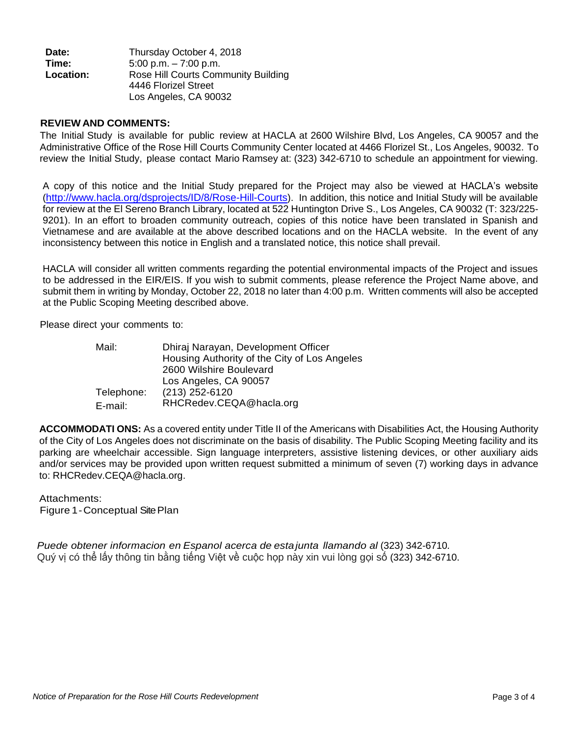| Date:     | Thursday October 4, 2018            |
|-----------|-------------------------------------|
| Time:     | $5:00$ p.m. $-7:00$ p.m.            |
| Location: | Rose Hill Courts Community Building |
|           | 4446 Florizel Street                |
|           | Los Angeles, CA 90032               |

#### **REVIEWAND COMMENTS:**

The Initial Study is available for public review at HACLA at 2600 Wilshire Blvd, Los Angeles, CA 90057 and the Administrative Office of the Rose Hill Courts Community Center located at 4466 Florizel St., Los Angeles, 90032. To review the Initial Study, please contact Mario Ramsey at: (323) 342-6710 to schedule an appointment for viewing.

A copy of this notice and the Initial Study prepared for the Project may also be viewed at HACLA's website (<http://www.hacla.org/dsprojects/ID/8/Rose-Hill-Courts>). In addition, this notice and Initial Study will be available for review at the El Sereno Branch Library, located at 522 Huntington Drive S., Los Angeles, CA 90032 (T: 323/225- 9201). In an effort to broaden community outreach, copies of this notice have been translated in Spanish and Vietnamese and are available at the above described locations and on the HACLA website. In the event of any inconsistency between this notice in English and a translated notice, this notice shall prevail.

HACLA will consider all written comments regarding the potential environmental impacts of the Project and issues to be addressed in the EIR/EIS. If you wish to submit comments, please reference the Project Name above, and submit them in writing by Monday, October 22, 2018 no later than 4:00 p.m. Written comments will also be accepted at the Public Scoping Meeting described above.

Please direct your comments to:

| Mail:      | Dhiraj Narayan, Development Officer          |
|------------|----------------------------------------------|
|            | Housing Authority of the City of Los Angeles |
|            | 2600 Wilshire Boulevard                      |
|            | Los Angeles, CA 90057                        |
| Telephone: | (213) 252-6120                               |
| E-mail:    | RHCRedev.CEQA@hacla.org                      |

**ACCOMMODATI ONS:** As a covered entity under Title II of the Americans with Disabilities Act, the Housing Authority of the City of Los Angeles does not discriminate on the basis of disability. The Public Scoping Meeting facility and its parking are wheelchair accessible. Sign language interpreters, assistive listening devices, or other auxiliary aids and/or services may be provided upon written request submitted a minimum of seven (7) working days in advance to: RHCRedev.CEQA@hacla.org.

### Attachments:

Figure 1-Conceptual SitePlan

*Puede obtener informacion en Espanol acerca de estajunta llamando al* (323) 342-6710*.* Quý vị có thể lấy thông tin bằng tiếng Việt về cuộc họp này xin vui lòng gọi số (323) 342-6710.